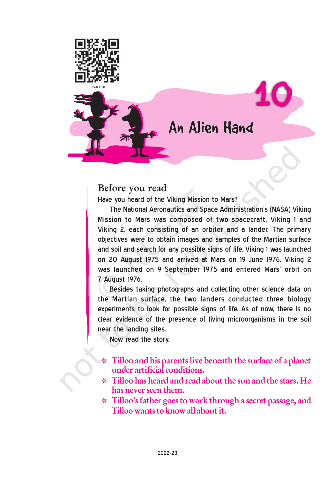

## Before you read

Have you heard of the Viking Mission to Mars?

The National Aeronautics and Space Administration's (NASA) Viking Mission to Mars was composed of two spacecraft, Viking 1 and Viking 2, each consisting of an orbiter and a lander. The primary objectives were to obtain images and samples of the Martian surface and soil and search for any possible signs of life. Viking 1 was launched on 20 August 1975 and arrived at Mars on 19 June 1976. Viking 2 was launched on 9 September 1975 and entered Mars' orbit on 7 August 1976.

Besides taking photographs and collecting other science data on the Martian surface, the two landers conducted three biology experiments to look for possible signs of life. As of now, there is no clear evidence of the presence of living microorganisms in the soil near the landing sites.

Now read the story.

- $\star$  Tilloo and his parents live beneath the surface of a planet under artificial conditions.
- $\star$  Tilloo has heard and read about the sun and the stars. He has never seen them.
- $\star$  Tilloo's father goes to work through a secret passage, and Tilloo wants to know all about it.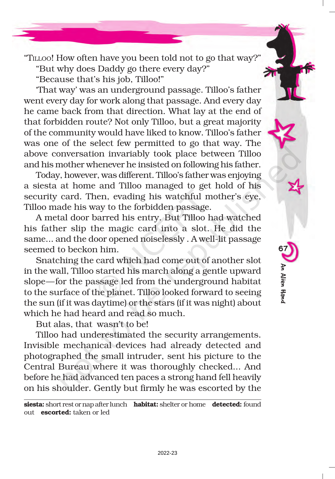"TILLOO! How often have you been told not to go that way?" "But why does Daddy go there every day?"

"Because that's his job, Tilloo!"

'That way' was an underground passage. Tilloo's father went every day for work along that passage. And every day he came back from that direction. What lay at the end of that forbidden route? Not only Tilloo, but a great majority of the community would have liked to know. Tilloo's father was one of the select few permitted to go that way. The above conversation invariably took place between Tilloo and his mother whenever he insisted on following his father.

Today, however, was different. Tilloo's father was enjoying a siesta at home and Tilloo managed to get hold of his security card. Then, evading his watchful mother's eye, Tilloo made his way to the forbidden passage.

A metal door barred his entry. But Tilloo had watched his father slip the magic card into a slot. He did the same... and the door opened noiselessly . A well-lit passage seemed to beckon him.

Snatching the card which had come out of another slot in the wall, Tilloo started his march along a gentle upward slope—for the passage led from the underground habitat to the surface of the planet. Tilloo looked forward to seeing the sun (if it was daytime) or the stars (if it was night) about which he had heard and read so much.

But alas, that wasn't to be!

Tilloo had underestimated the security arrangements. Invisible mechanical devices had already detected and photographed the small intruder, sent his picture to the Central Bureau where it was thoroughly checked... And before he had advanced ten paces a strong hand fell heavily on his shoulder. Gently but firmly he was escorted by the

siesta: short rest or nap after lunch habitat: shelter or home detected: found out escorted: taken or led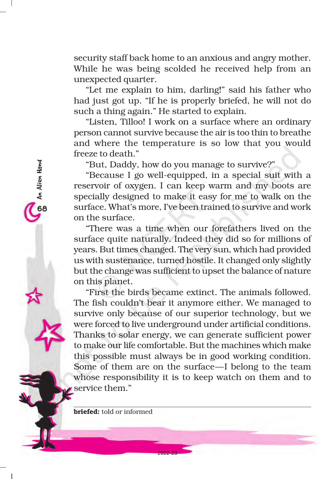security staff back home to an anxious and angry mother. While he was being scolded he received help from an unexpected quarter.

"Let me explain to him, darling!" said his father who had just got up. "If he is properly briefed, he will not do such a thing again." He started to explain.

"Listen, Tilloo! I work on a surface where an ordinary person cannot survive because the air is too thin to breathe and where the temperature is so low that you would freeze to death."

"But, Daddy, how do you manage to survive?"

"Because I go well-equipped, in a special suit with a reservoir of oxygen. I can keep warm and my boots are specially designed to make it easy for me to walk on the surface. What's more, I've been trained to survive and work on the surface.

"There was a time when our forefathers lived on the surface quite naturally. Indeed they did so for millions of years. But times changed. The very sun, which had provided us with sustenance, turned hostile. It changed only slightly but the change was sufficient to upset the balance of nature on this planet.

"First the birds became extinct. The animals followed. The fish couldn't bear it anymore either. We managed to survive only because of our superior technology, but we were forced to live underground under artificial conditions. Thanks to solar energy, we can generate sufficient power to make our life comfortable. But the machines which make this possible must always be in good working condition. Some of them are on the surface—I belong to the team whose responsibility it is to keep watch on them and to service them."

2022-23

briefed: told or informed

68An Alien Hand

O An Alien Hand<br>O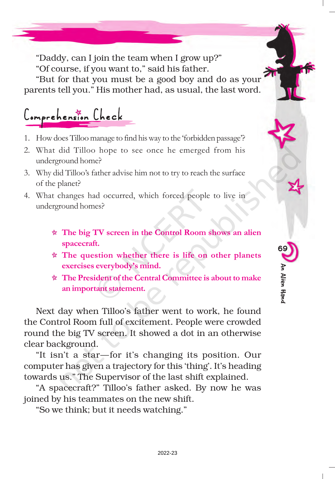"Daddy, can I join the team when I grow up?" "Of course, if you want to," said his father.

"But for that you must be a good boy and do as your parents tell you." His mother had, as usual, the last word.

Comprehension Check

- 1. How does Tilloo manage to find his way to the 'forbidden passage'?
- 2. What did Tilloo hope to see once he emerged from his underground home?
- 3. Why did Tilloo's father advise him not to try to reach the surface of the planet?
- 4. What changes had occurred, which forced people to live in underground homes?
	- The big TV screen in the Control Room shows an alien spacecraft.
	- $\star$  The question whether there is life on other planets exercises everybody's mind.
	- $\star$  The President of the Central Committee is about to make an important statement.

Next day when Tilloo's father went to work, he found the Control Room full of excitement. People were crowded round the big TV screen. It showed a dot in an otherwise clear background.

"It isn't a star—for it's changing its position. Our computer has given a trajectory for this 'thing'. It's heading towards us." The Supervisor of the last shift explained.

"A spacecraft?" Tilloo's father asked. By now he was joined by his teammates on the new shift.

"So we think; but it needs watching."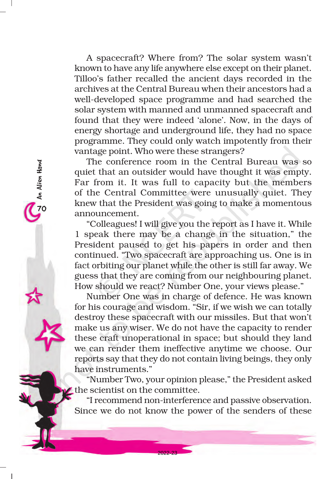A spacecraft? Where from? The solar system wasn't known to have any life anywhere else except on their planet. Tilloo's father recalled the ancient days recorded in the archives at the Central Bureau when their ancestors had a well-developed space programme and had searched the solar system with manned and unmanned spacecraft and found that they were indeed 'alone'. Now, in the days of energy shortage and underground life, they had no space programme. They could only watch impotently from their vantage point. Who were these strangers?

The conference room in the Central Bureau was so quiet that an outsider would have thought it was empty. Far from it. It was full to capacity but the members of the Central Committee were unusually quiet. They knew that the President was going to make a momentous announcement.

2<br>2<br>O<br>An Alien Hand

An Alien Hand

"Colleagues! I will give you the report as I have it. While 1 speak there may be a change in the situation," the President paused to get his papers in order and then continued. "Two spacecraft are approaching us. One is in fact orbiting our planet while the other is still far away. We guess that they are coming from our neighbouring planet. How should we react? Number One, your views please."

Number One was in charge of defence. He was known for his courage and wisdom. "Sir, if we wish we can totally destroy these spacecraft with our missiles. But that won't make us any wiser. We do not have the capacity to render these craft unoperational in space; but should they land we can render them ineffective anytime we choose. Our reports say that they do not contain living beings, they only have instruments."

"Number Two, your opinion please," the President asked the scientist on the committee.

"I recommend non-interference and passive observation. Since we do not know the power of the senders of these

2022-23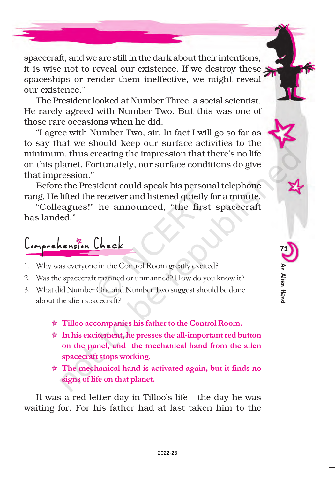spacecraft, and we are still in the dark about their intentions, it is wise not to reveal our existence. If we destroy these  $\blacktriangleright$ spaceships or render them ineffective, we might reveal our existence."

The President looked at Number Three, a social scientist. He rarely agreed with Number Two. But this was one of those rare occasions when he did.

"I agree with Number Two, sir. In fact I will go so far as to say that we should keep our surface activities to the minimum, thus creating the impression that there's no life on this planet. Fortunately, our surface conditions do give that impression."

Before the President could speak his personal telephone rang. He lifted the receiver and listened quietly for a minute.

"Colleagues!" he announced, "the first spacecraft has landed."

Comprehension Check

- 1. Why was everyone in the Control Room greatly excited?
- 2. Was the spacecraft manned or unmanned? How do you know it?
- 3. What did Number One and Number Two suggest should be done about the alien spacecraft?
	- Tilloo accompanies his father to the Control Room.
	- $\star$  In his excitement, he presses the all-important red button on the panel, and the mechanical hand from the alien spacecraft stops working.

71

An Alien Hand

An Alien Hanc

 $\star$  The mechanical hand is activated again, but it finds no signs of life on that planet.

It was a red letter day in Tilloo's life—the day he was waiting for. For his father had at last taken him to the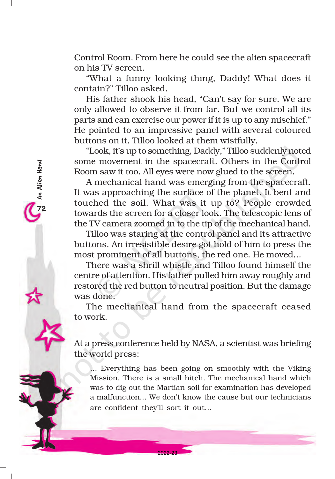Control Room. From here he could see the alien spacecraft on his TV screen.

"What a funny looking thing, Daddy! What does it contain?" Tilloo asked.

His father shook his head, "Can't say for sure. We are only allowed to observe it from far. But we control all its parts and can exercise our power if it is up to any mischief." He pointed to an impressive panel with several coloured buttons on it. Tilloo looked at them wistfully.

"Look, it's up to something, Daddy," Tilloo suddenly noted some movement in the spacecraft. Others in the Control Room saw it too. All eyes were now glued to the screen.

A mechanical hand was emerging from the spacecraft. It was approaching the surface of the planet. It bent and touched the soil. What was it up to? People crowded towards the screen for a closer look. The telescopic lens of the TV camera zoomed in to the tip of the mechanical hand.

An Alien Hand<br>12

An Alien Hand

Tilloo was staring at the control panel and its attractive buttons. An irresistible desire got hold of him to press the most prominent of all buttons, the red one. He moved...

There was a shrill whistle and Tilloo found himself the centre of attention. His father pulled him away roughly and restored the red button to neutral position. But the damage was done.

The mechanical hand from the spacecraft ceased to work.

At a press conference held by NASA, a scientist was briefing the world press:

... Everything has been going on smoothly with the Viking Mission. There is a small hitch. The mechanical hand which was to dig out the Martian soil for examination has developed a malfunction... We don't know the cause but our technicians are confident they'll sort it out...

2022-23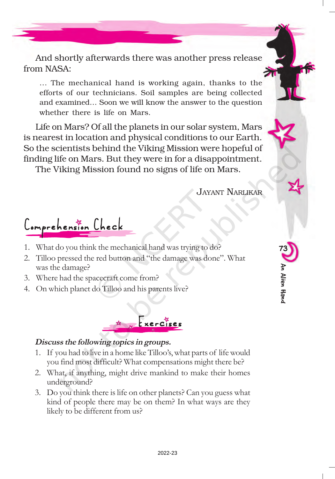And shortly afterwards there was another press release from NASA:

... The mechanical hand is working again, thanks to the efforts of our technicians. Soil samples are being collected and examined… Soon we will know the answer to the question whether there is life on Mars.

Life on Mars? Of all the planets in our solar system, Mars is nearest in location and physical conditions to our Earth. So the scientists behind the Viking Mission were hopeful of finding life on Mars. But they were in for a disappointment.

The Viking Mission found no signs of life on Mars.

JAYANT NARLIKAR

73

An Alien Hand

An Alien Hanc

Comprehension Check

- 1. What do you think the mechanical hand was trying to do?
- 2. Tilloo pressed the red button and "the damage was done". What was the damage?
- 3. Where had the spacecraft come from?
- 4. On which planet do Tilloo and his parents live?



## Discuss the following topics in groups.

- 1. If you had to live in a home like Tilloo's, what parts of life would you find most difficult? What compensations might there be?
- 2. What, if anything, might drive mankind to make their homes underground?
- 3. Do you think there is life on other planets? Can you guess what kind of people there may be on them? In what ways are they likely to be different from us?